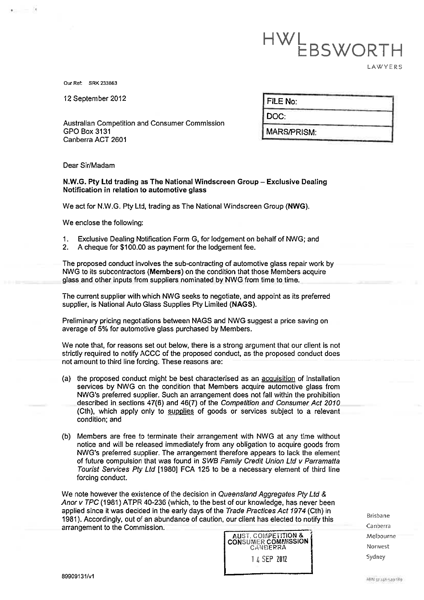# HWLBSWORTH **LAWYERS**

Our Ref: SRK 233863

12 September 2012

Australian Competition and Consumer Commission GPO Box 3131 Canberra ACT 2601

| FILE No: |  |
|----------|--|

Doc

MARS/PRISM:

Dear Sir/Madam

## N. W. G. Pty Ltd trading as The National Windscreen Group - Exclusive Dealing Notification in relation to automotive glass

We act for NW. G. Pty Ltd, trading as The National Windscreen Group (NWG).

We enclose the following:

- 1. Exclusive Dealing Notification Form G, for lodgement on behalf of NWG; and 2. A cheque for \$100.00 as payment for the lodgement fee.
- A cheque for \$100.00 as payment for the lodgement fee.

The proposed conduct involves the sub-contracting of automotive glass repair work by NWG to its subcontractors (Members) on the condition that those Members acquire glass and other inputs from suppliers nominated by NWG from time to time.

The current supplier with which NWG seeks to negotiate, and appoint as its preferred supplier, is National Auto Glass Supplies Pty Limited (NAGS).

Preliminary pricing negotiations between NAGS and NWG suggest a price saving on average of 5% for automotive glass purchased by Members.

We note that, for reasons set out below, there is a strong argument that our client is not strictly required to notify ACCC of the proposed conduct, as the proposed conduct does not amount to third line forcing. These reasons are:

- (a) the proposed conduct might be best characterised as an acquisition of installation services by NWG on the condition that Members acquire automotive glass from NWG's preferred supplier. Such an arrangement does not fall within the prohibition described in sections 47(6) and 46(7) of the Competition and Consumer Act 2070 (Cth), which apply only to supplies of goods or services subject to a relevant condition; and
- (b) Members are free to terminate their arrangement with NWG at any time without notice and will be released immediately from any obligation to acquire goods from NWG's preferred supplier. The arrangement therefore appears to lack the element of future compulsion that was found in SWB Family Credit Union Ltd v Parramatta Tourist Services Pty Ltd [1980] FCA 125 to be a necessary element of third line forcing conduct.

We note however the existence of the decision in Queensland Aggregates Pty Ltd & Anor v TPC (1981) ATPR 40-236 (which, to the best of our knowledge, has never been applied since it was decided in the early days of the Trade Practices Act 1974 (Cth) in 1981). Accordingly, out of an abundance of caution, our client has elected to notify this arrangement to the Commission.

AUST. COMPETITION &<br>CONSUMER COMMISSION CA;IDERRA I L SEP 2112

Brisbane Canberra Melbourne Norwest Sydney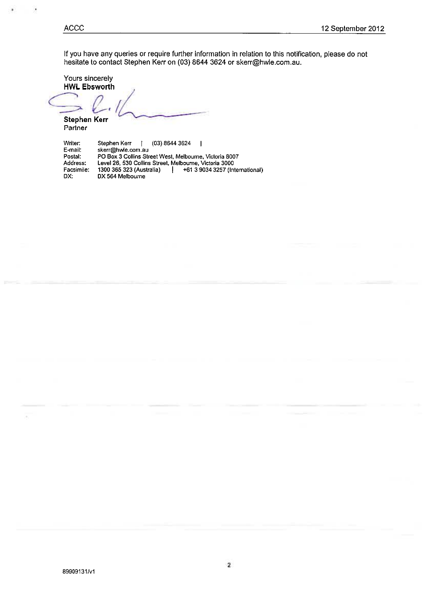ACCC

If you have any queries or require further information in relation to this notification, please do not  $n$ esitate to contact Stephen Kerr on  $(03)$  8644  $3624$  or skerr@hwle.com.au.

Yours sincerely HWL Ebsworth

٦  $\hookrightarrow$   $\mathcal{C}$ Stephen Kerr Partner

| Writer:    | Stephen Kerr<br>(03) 8644 3624                              |
|------------|-------------------------------------------------------------|
| E-mail:    | skerr@hwle.com.au                                           |
| Postal:    | PO Box 3 Collins Street West, Melbourne, Victoria 8007      |
| Address:   | Level 26, 530 Collins Street, Melbourne, Victoria 3000      |
| Facsimile: | 1300 365 323 (Australia)<br>+61 3 9034 3257 (International) |
| DX:        | DX 564 Melbourne                                            |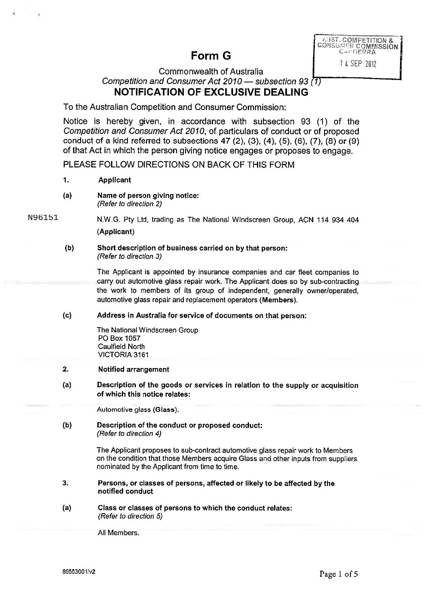# Form G

**I, IST. COMPETITION &<br>COMSUMER COMMISSION** 

I 4 SEP 2012

# Commonwealth of Australia Competition and Consumer Act 2010  $-$  subsection 93 (1) NOTIFICATION OF EXCLUSIVE DEALING

To the Australian Competition and Consumer Commission:

Notice is hereby given, in accordance with subsection  $93$  (1) of the Competition and Consumer Act 2070, of particulars of conduct or of proposed conduct of a kind referred to subsections 47 (2), (3), (4), (5), (6), (7), (8) or (9) of that Act in which the person giving notice engages or proposes to engage.

PLEASE FOLLOW DIRECTIONS ON BACK OF THIS FORM

- $1.$ Applicant
- Name of person giving notice:  $(a)$ (Refer to direction 2)

N. W. G. Pty Ltd, trading as The National Windscreen Group, ACN 114934404 (Applicant) N96151

#### $(b)$ Short description of business carried on by that person: (Refer to direction 3)

The Applicant is appointed by insurance companies and car fleet companies to carry out automotive glass repair work. The Applicant does so by sub-contracting the work to members of its group of independent, generally owner/operated, automotive glass repair and replacement operators (Members).

 $(c)$ Address in Australia for service of documents on that person:

> The National Windscreen Group PO Box 1057 Caulfield North VICTORIA 3161

- $2.$ Notified arrangement
- $(a)$ Description of the goods or services in relation to the supply or acquisition of which this notice relates:

Automotive glass (Glass).

 $(b)$ Description of the conduct or proposed conduct: (Refer to direction 4)

> The Applicant proposes to sub-contract automotive glass repair work to Members on the condition that those Members acquire Glass and other inputs from suppliers nominated by the Applicant from time to time.

- 3. Persons, or classes of persons, affected or likely to be affected by the notified conduct
- $(a)$ Class or classes of persons to which the conduct relates: (Refer to direction 5)

All Members.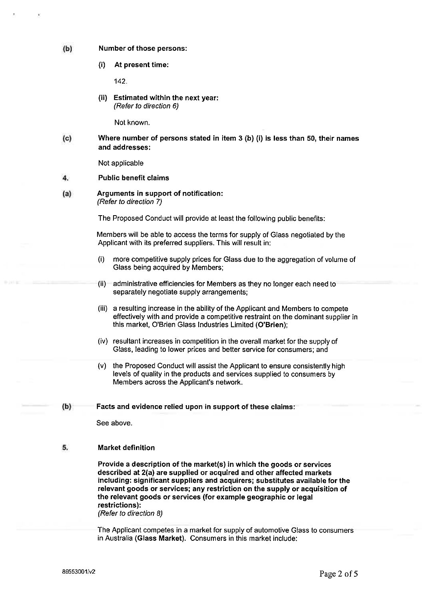#### $(b)$ Number of those persons:

(i) At present time:

142

(ii) Estimated within the next year: (Refer to direction 6)

Not known.

#### $(c)$ Where number of persons stated in item  $3$  (b) (i) is less than  $50$ , their names and addresses:

Not applicable

#### Public benefit claims  $\overline{\mathbf{4}}$

Arguments in support of notification:  $(a)$ (Refer to direction 7)

The Proposed Conduct will provide at least the following public benefits:

Members will be able to access the terms for supply of Glass negotiated by the Applicant with its preferred suppliers. This will result in:

- (1) more competitive supply prices for Glass due to the aggregation of volume of Glass being acquired by Members;
- (ii) administrative efficiencies for Members as they no longer each need to separately negotiate supply arrangements;
- (iii) a resulting increase in the ability of the Applicant and Members to compete effectively with and provide a competitive restraint on the dominant supplier in this market, 0'Brien Glass Industries Limited (0'Brien);
- (iv) resultant increases in competition in the overall market for the supply of Glass, leading to lower prices and better service for consumers; and
- (v) the Proposed Conduct will assist the Applicant to ensure consistently high levels of quality in the products and services supplied to consumers by Members across the Applicant's network.

#### $(b)$ Facts and evidence relied upon in support of these claims:

See above.

#### 5. Market definition

Provide a description of the market(s) in which the goods or services described at 2(a) are supplied or acquired and other affected markets including: significant suppliers and acquirers; substitutes available for the relevant goods or services; any restriction on the supply or acquisition of the relevant goods or services (for example geographic or legal restrictions): (Refer to direction 8)

The Applicant competes in a market for supply of automotive Glass to consumers in Australia (Glass Market). Consumers in this market include: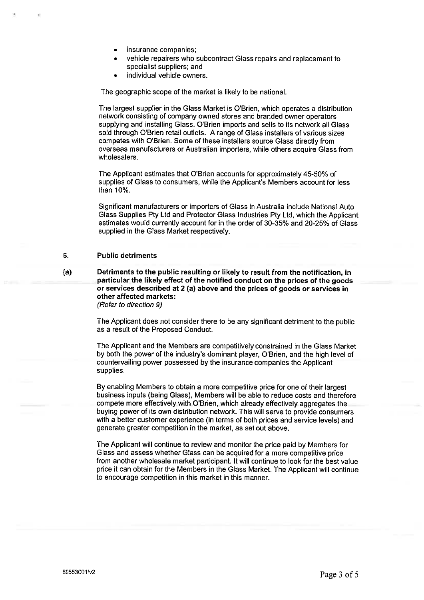- insurance companies;
- vehicle repairers who subcontract Glass repairs and replacement to specialist suppliers; and
- individual vehide owners.

The geographic scope of the market is likely to be national.

The largest supplier in the Glass Market is O'Brien, which operates a distribution network consisting of company owned stores and branded owner operators supplying and installing Glass. 0'Brien imports and sells to its network all Glass sold through O'Brien retail outlets. A range of Glass installers of various sizes competes with O'Brien. Some of these installers source Glass directly from overseas manufacturers or Australian importers, while others acquire Glass from wholesalers.

The Applicant estimates that 0'8rien accounts for approximately 45-50% of supplies of Glass to consumers, while the Applicant's Members account for less than 10%.

Significant manufacturers or importers of Glass in Australia include National Auto Glass Supplies Pty Ltd and Protector Glass Industries Pty Ltd, which the Applicant estimates would currently account for in the order of 30-35% and 20-25% of Glass supplied in the Glass Market respectively.

#### 6. Public detriments

(a) Detriments to the public resulting or likely to result from the notification, in particular the likely effect of the notified conduct on the prices of the goods or services described at 2 (a) above and the prices of goods or services in other affected markets: (Refer to direction 9)

> The Applicant does not consider there to be any significant detriment to the public as a result of the Proposed Conduct

> The Applicant and the Members are competitively constrained in the Glass Market by both the power of the industry's dominant player, 0'Brien, and the high level of countervailing power possessed by the insurance companies the Applicant supplies

> By enabling Members to obtain a more competitive price for one of their largest business inputs (being Glass), Members will be able to reduce costs and therefore compete more effectively with O'Brien, which already effectively aggregates the buying power of its own distribution network. This will serve to provide consumers with a better customer experience (in terms of both prices and service levels) and generate greater competition in the market, as set out above.

> The Applicant will continue to review and monitor the price paid by Members for Glass and assess whether Glass can be acquired for a more competitive price from another wholesale market participant. It will continue to look for the best value price it can obtain for the Members in the Glass Market. The Applicant will continue to encourage competition in this market in this manner.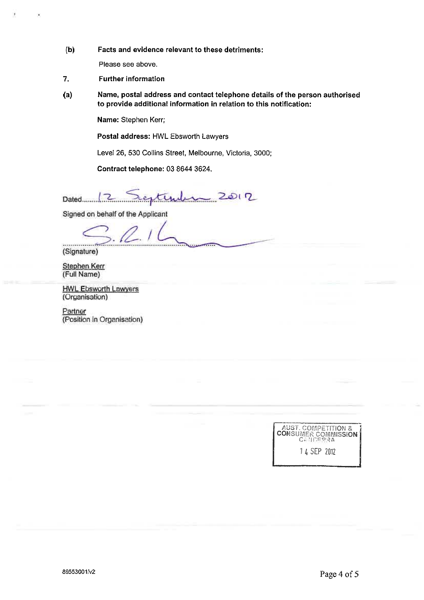(b) Facts and evidence relevant to these derriments:

Please see above.

- 7. Further information
- (a) Name, postal address and contact telephone details of the person authorised to provide additional information in relation to this notification:

Name: Stephen Kerr;

Postal address: HWL Ebsworth Lawyers

Level 26,530 Collins Street, Melbourne, Victoria, 3000;

Contract telephone: 0386443624.

12 restimin 2012

Signed on behalf of the Applicant

 $\sum_{i}$ 

Stephen Kerr (Full Name)

**HWL Ebsworth Lawyers** (Organisation)

Partner (Position in Organisation)

> AUST. COMPETITION & CONSUiV!ER COMMISSION Cr. ';F1='Y YA 14 SEP 20/2